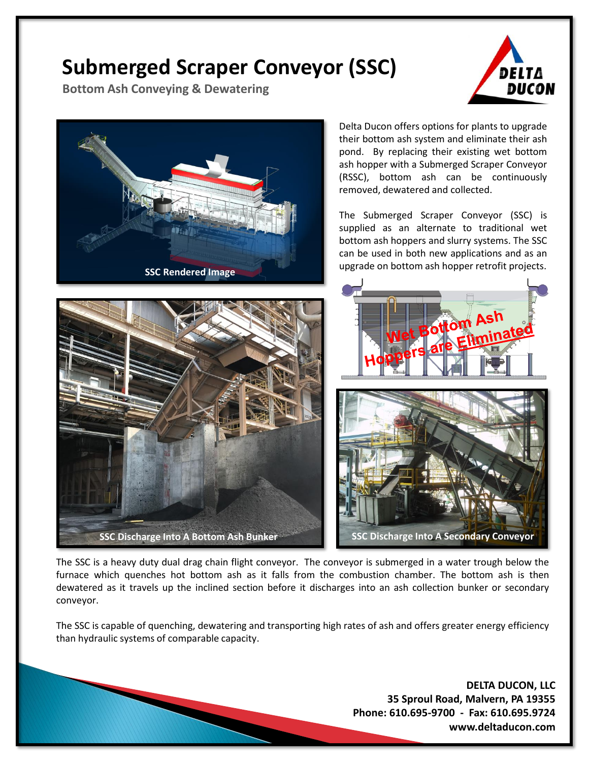## **Submerged Scraper Conveyor (SSC)**

**Bottom Ash Conveying & Dewatering**





The SSC is a heavy duty dual drag chain flight conveyor. The conveyor is submerged in a water trough below the furnace which quenches hot bottom ash as it falls from the combustion chamber. The bottom ash is then dewatered as it travels up the inclined section before it discharges into an ash collection bunker or secondary conveyor.

The SSC is capable of quenching, dewatering and transporting high rates of ash and offers greater energy efficiency than hydraulic systems of comparable capacity.

> **DELTA DUCON, LLC 35 Sproul Road, Malvern, PA 19355 Phone: 610.695-9700 - Fax: 610.695.9724 www.deltaducon.com**